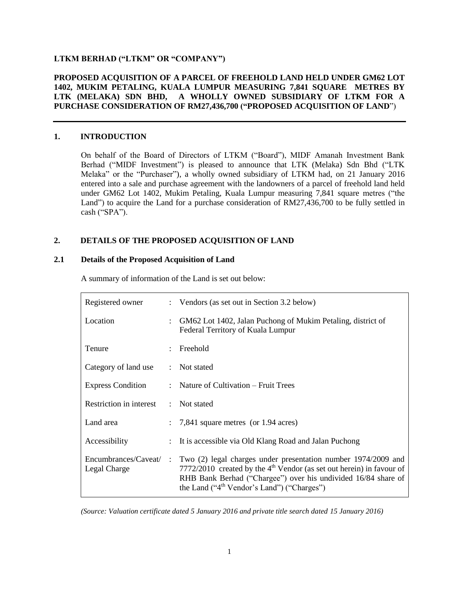## **LTKM BERHAD ("LTKM" OR "COMPANY")**

# **PROPOSED ACQUISITION OF A PARCEL OF FREEHOLD LAND HELD UNDER GM62 LOT 1402, MUKIM PETALING, KUALA LUMPUR MEASURING 7,841 SQUARE METRES BY LTK (MELAKA) SDN BHD, A WHOLLY OWNED SUBSIDIARY OF LTKM FOR A PURCHASE CONSIDERATION OF RM27,436,700 ("PROPOSED ACQUISITION OF LAND**")

### **1. INTRODUCTION**

On behalf of the Board of Directors of LTKM ("Board"), MIDF Amanah Investment Bank Berhad ("MIDF Investment") is pleased to announce that LTK (Melaka) Sdn Bhd ("LTK Melaka" or the "Purchaser"), a wholly owned subsidiary of LTKM had, on 21 January 2016 entered into a sale and purchase agreement with the landowners of a parcel of freehold land held under GM62 Lot 1402, Mukim Petaling, Kuala Lumpur measuring 7,841 square metres ("the Land") to acquire the Land for a purchase consideration of RM27,436,700 to be fully settled in cash ("SPA").

# **2. DETAILS OF THE PROPOSED ACQUISITION OF LAND**

### **2.1 Details of the Proposed Acquisition of Land**

| Registered owner                      |               | Vendors (as set out in Section 3.2 below)                                                                                                                                                                                                                 |  |
|---------------------------------------|---------------|-----------------------------------------------------------------------------------------------------------------------------------------------------------------------------------------------------------------------------------------------------------|--|
| Location                              |               | GM62 Lot 1402, Jalan Puchong of Mukim Petaling, district of<br>Federal Territory of Kuala Lumpur                                                                                                                                                          |  |
| Tenure                                |               | Freehold                                                                                                                                                                                                                                                  |  |
| Category of land use                  |               | $:$ Not stated                                                                                                                                                                                                                                            |  |
| <b>Express Condition</b>              |               | Nature of Cultivation – Fruit Trees                                                                                                                                                                                                                       |  |
| Restriction in interest               | $\mathcal{L}$ | Not stated                                                                                                                                                                                                                                                |  |
| Land area                             |               | $\therefore$ 7,841 square metres (or 1.94 acres)                                                                                                                                                                                                          |  |
| Accessibility                         |               | It is accessible via Old Klang Road and Jalan Puchong                                                                                                                                                                                                     |  |
| Encumbrances/Caveat/:<br>Legal Charge |               | Two (2) legal charges under presentation number 1974/2009 and<br>7772/2010 created by the $4th$ Vendor (as set out herein) in favour of<br>RHB Bank Berhad ("Chargee") over his undivided 16/84 share of<br>the Land (" $4th$ Vendor's Land") ("Charges") |  |

A summary of information of the Land is set out below:

*(Source: Valuation certificate dated 5 January 2016 and private title search dated 15 January 2016)*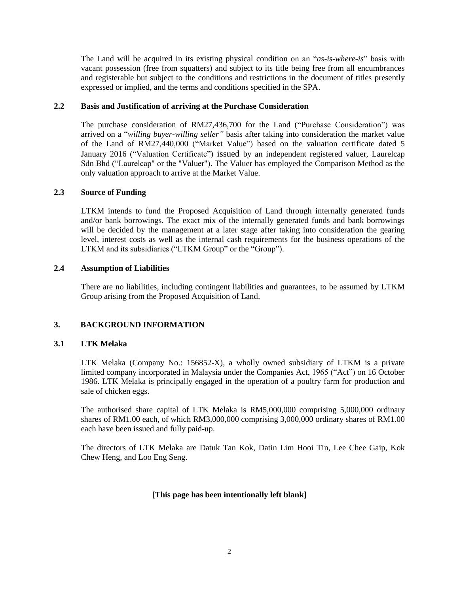The Land will be acquired in its existing physical condition on an "*as-is-where-is*" basis with vacant possession (free from squatters) and subject to its title being free from all encumbrances and registerable but subject to the conditions and restrictions in the document of titles presently expressed or implied, and the terms and conditions specified in the SPA.

### **2.2 Basis and Justification of arriving at the Purchase Consideration**

The purchase consideration of RM27,436,700 for the Land ("Purchase Consideration") was arrived on a "*willing buyer-willing seller"* basis after taking into consideration the market value of the Land of RM27,440,000 ("Market Value") based on the valuation certificate dated 5 January 2016 ("Valuation Certificate") issued by an independent registered valuer, Laurelcap Sdn Bhd ("Laurelcap" or the "Valuer"). The Valuer has employed the Comparison Method as the only valuation approach to arrive at the Market Value.

### **2.3 Source of Funding**

LTKM intends to fund the Proposed Acquisition of Land through internally generated funds and/or bank borrowings. The exact mix of the internally generated funds and bank borrowings will be decided by the management at a later stage after taking into consideration the gearing level, interest costs as well as the internal cash requirements for the business operations of the LTKM and its subsidiaries ("LTKM Group" or the "Group").

### **2.4 Assumption of Liabilities**

There are no liabilities, including contingent liabilities and guarantees, to be assumed by LTKM Group arising from the Proposed Acquisition of Land.

## **3. BACKGROUND INFORMATION**

## **3.1 LTK Melaka**

LTK Melaka (Company No.: 156852-X), a wholly owned subsidiary of LTKM is a private limited company incorporated in Malaysia under the Companies Act, 1965 ("Act") on 16 October 1986. LTK Melaka is principally engaged in the operation of a poultry farm for production and sale of chicken eggs.

The authorised share capital of LTK Melaka is RM5,000,000 comprising 5,000,000 ordinary shares of RM1.00 each, of which RM3,000,000 comprising 3,000,000 ordinary shares of RM1.00 each have been issued and fully paid-up.

The directors of LTK Melaka are Datuk Tan Kok, Datin Lim Hooi Tin, Lee Chee Gaip, Kok Chew Heng, and Loo Eng Seng.

## **[This page has been intentionally left blank]**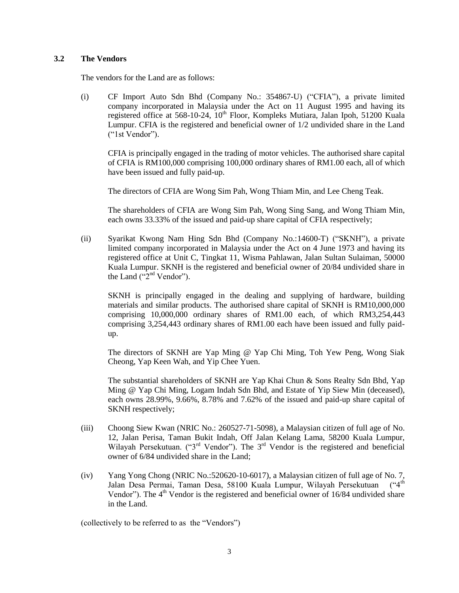### **3.2 The Vendors**

The vendors for the Land are as follows:

(i) CF Import Auto Sdn Bhd (Company No.: 354867-U) ("CFIA"), a private limited company incorporated in Malaysia under the Act on 11 August 1995 and having its registered office at 568-10-24, 10<sup>th</sup> Floor, Kompleks Mutiara, Jalan Ipoh, 51200 Kuala Lumpur. CFIA is the registered and beneficial owner of 1/2 undivided share in the Land ("1st Vendor").

CFIA is principally engaged in the trading of motor vehicles. The authorised share capital of CFIA is RM100,000 comprising 100,000 ordinary shares of RM1.00 each, all of which have been issued and fully paid-up.

The directors of CFIA are Wong Sim Pah, Wong Thiam Min, and Lee Cheng Teak.

The shareholders of CFIA are Wong Sim Pah, Wong Sing Sang, and Wong Thiam Min, each owns 33.33% of the issued and paid-up share capital of CFIA respectively;

(ii) Syarikat Kwong Nam Hing Sdn Bhd (Company No.:14600-T) ("SKNH"), a private limited company incorporated in Malaysia under the Act on 4 June 1973 and having its registered office at Unit C, Tingkat 11, Wisma Pahlawan, Jalan Sultan Sulaiman, 50000 Kuala Lumpur. SKNH is the registered and beneficial owner of 20/84 undivided share in the Land  $("2<sup>nd</sup> Vendor").$ 

SKNH is principally engaged in the dealing and supplying of hardware, building materials and similar products. The authorised share capital of SKNH is RM10,000,000 comprising 10,000,000 ordinary shares of RM1.00 each, of which RM3,254,443 comprising 3,254,443 ordinary shares of RM1.00 each have been issued and fully paidup.

The directors of SKNH are Yap Ming @ Yap Chi Ming, Toh Yew Peng, Wong Siak Cheong, Yap Keen Wah, and Yip Chee Yuen.

The substantial shareholders of SKNH are Yap Khai Chun & Sons Realty Sdn Bhd, Yap Ming @ Yap Chi Ming, Logam Indah Sdn Bhd, and Estate of Yip Siew Min (deceased), each owns 28.99%, 9.66%, 8.78% and 7.62% of the issued and paid-up share capital of SKNH respectively;

- (iii) Choong Siew Kwan (NRIC No.: 260527-71-5098), a Malaysian citizen of full age of No. 12, Jalan Perisa, Taman Bukit Indah, Off Jalan Kelang Lama, 58200 Kuala Lumpur, Wilayah Persekutuan. ("3<sup>rd</sup> Vendor"). The 3<sup>rd</sup> Vendor is the registered and beneficial owner of 6/84 undivided share in the Land;
- (iv) Yang Yong Chong (NRIC No.:520620-10-6017), a Malaysian citizen of full age of No. 7, Jalan Desa Permai, Taman Desa, 58100 Kuala Lumpur, Wilayah Persekutuan Vendor"). The 4<sup>th</sup> Vendor is the registered and beneficial owner of 16/84 undivided share in the Land.

(collectively to be referred to as the "Vendors")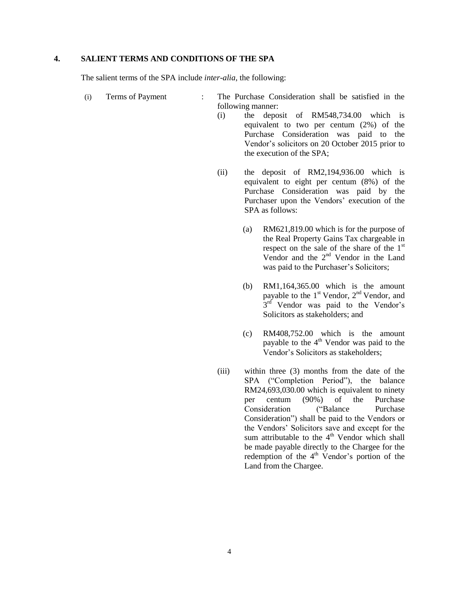### **4. SALIENT TERMS AND CONDITIONS OF THE SPA**

The salient terms of the SPA include *inter-alia*, the following:

- (i) Terms of Payment : The Purchase Consideration shall be satisfied in the following manner:
	- (i) the deposit of RM548,734.00 which is equivalent to two per centum (2%) of the Purchase Consideration was paid to the Vendor's solicitors on 20 October 2015 prior to the execution of the SPA;
	- (ii) the deposit of RM2,194,936.00 which is equivalent to eight per centum (8%) of the Purchase Consideration was paid by the Purchaser upon the Vendors' execution of the SPA as follows:
		- (a) RM621,819.00 which is for the purpose of the Real Property Gains Tax chargeable in respect on the sale of the share of the  $1<sup>st</sup>$ Vendor and the 2nd Vendor in the Land was paid to the Purchaser's Solicitors;
		- (b) RM1,164,365.00 which is the amount payable to the  $1<sup>st</sup>$  Vendor,  $2<sup>nd</sup>$  Vendor, and  $3<sup>rd</sup>$  Vendor was paid to the Vendor's Solicitors as stakeholders; and
		- (c) RM408,752.00 which is the amount payable to the  $4<sup>th</sup>$  Vendor was paid to the Vendor's Solicitors as stakeholders;
	- (iii) within three (3) months from the date of the SPA ("Completion Period"), the balance RM24,693,030.00 which is equivalent to ninety per centum (90%) of the Purchase Consideration ("Balance Purchase Consideration") shall be paid to the Vendors or the Vendors' Solicitors save and except for the sum attributable to the  $4<sup>th</sup>$  Vendor which shall be made payable directly to the Chargee for the redemption of the  $4<sup>th</sup>$  Vendor's portion of the Land from the Chargee.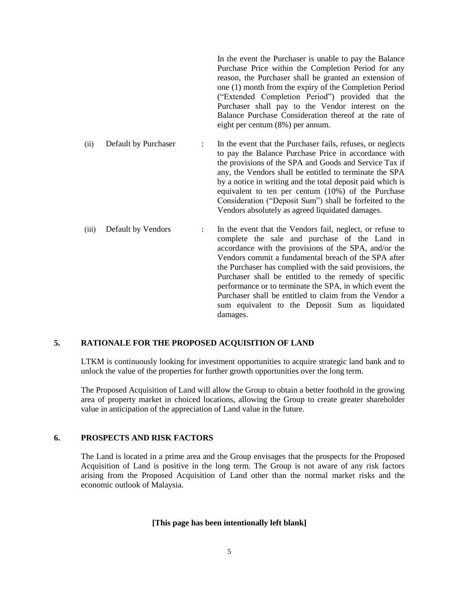In the event the Purchaser is unable to pay the Balance Purchase Price within the Completion Period for any reason, the Purchaser shall be granted an extension of one (1) month from the expiry of the Completion Period ("Extended Completion Period") provided that the Purchaser shall pay to the Vendor interest on the Balance Purchase Consideration thereof at the rate of eight per centum (8%) per annum.

(ii) Default by Purchaser : In the event that the Purchaser fails, refuses, or neglects to pay the Balance Purchase Price in accordance with the provisions of the SPA and Goods and Service Tax if any, the Vendors shall be entitled to terminate the SPA by a notice in writing and the total deposit paid which is equivalent to ten per centum (10%) of the Purchase Consideration ("Deposit Sum") shall be forfeited to the Vendors absolutely as agreed liquidated damages.

(iii) Default by Vendors : In the event that the Vendors fail, neglect, or refuse to complete the sale and purchase of the Land in accordance with the provisions of the SPA, and/or the Vendors commit a fundamental breach of the SPA after the Purchaser has complied with the said provisions, the Purchaser shall be entitled to the remedy of specific performance or to terminate the SPA, in which event the Purchaser shall be entitled to claim from the Vendor a sum equivalent to the Deposit Sum as liquidated damages.

### **5. RATIONALE FOR THE PROPOSED ACQUISITION OF LAND**

LTKM is continuously looking for investment opportunities to acquire strategic land bank and to unlock the value of the properties for further growth opportunities over the long term.

The Proposed Acquisition of Land will allow the Group to obtain a better foothold in the growing area of property market in choiced locations, allowing the Group to create greater shareholder value in anticipation of the appreciation of Land value in the future.

### **6. PROSPECTS AND RISK FACTORS**

The Land is located in a prime area and the Group envisages that the prospects for the Proposed Acquisition of Land is positive in the long term. The Group is not aware of any risk factors arising from the Proposed Acquisition of Land other than the normal market risks and the economic outlook of Malaysia.

#### **[This page has been intentionally left blank]**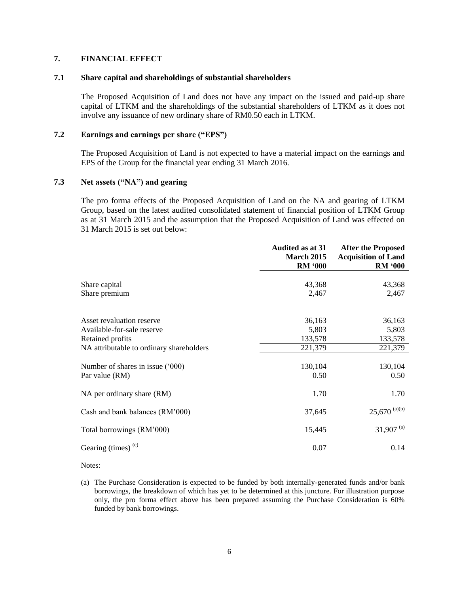# **7. FINANCIAL EFFECT**

#### **7.1 Share capital and shareholdings of substantial shareholders**

The Proposed Acquisition of Land does not have any impact on the issued and paid-up share capital of LTKM and the shareholdings of the substantial shareholders of LTKM as it does not involve any issuance of new ordinary share of RM0.50 each in LTKM.

#### **7.2 Earnings and earnings per share ("EPS")**

The Proposed Acquisition of Land is not expected to have a material impact on the earnings and EPS of the Group for the financial year ending 31 March 2016.

# **7.3 Net assets ("NA") and gearing**

The pro forma effects of the Proposed Acquisition of Land on the NA and gearing of LTKM Group, based on the latest audited consolidated statement of financial position of LTKM Group as at 31 March 2015 and the assumption that the Proposed Acquisition of Land was effected on 31 March 2015 is set out below:

|                                          | <b>Audited as at 31</b><br><b>March 2015</b> | <b>After the Proposed</b>                    |
|------------------------------------------|----------------------------------------------|----------------------------------------------|
|                                          | <b>RM '000</b>                               | <b>Acquisition of Land</b><br><b>RM '000</b> |
|                                          |                                              |                                              |
| Share capital<br>Share premium           | 43,368<br>2,467                              | 43,368<br>2,467                              |
|                                          |                                              |                                              |
| Asset revaluation reserve                | 36,163                                       | 36,163                                       |
| Available-for-sale reserve               | 5,803                                        | 5,803                                        |
| Retained profits                         | 133,578                                      | 133,578                                      |
| NA attributable to ordinary shareholders | 221,379                                      | 221,379                                      |
|                                          |                                              |                                              |
| Number of shares in issue ('000)         | 130,104                                      | 130,104                                      |
| Par value (RM)                           | 0.50                                         | 0.50                                         |
| NA per ordinary share (RM)               | 1.70                                         | 1.70                                         |
| Cash and bank balances (RM'000)          | 37,645                                       | $25,670$ <sup>(a)(b)</sup>                   |
| Total borrowings (RM'000)                | 15,445                                       | $31,907$ <sup>(a)</sup>                      |
| Gearing (times) $(c)$                    | 0.07                                         | 0.14                                         |

Notes:

(a) The Purchase Consideration is expected to be funded by both internally-generated funds and/or bank borrowings, the breakdown of which has yet to be determined at this juncture. For illustration purpose only, the pro forma effect above has been prepared assuming the Purchase Consideration is 60% funded by bank borrowings.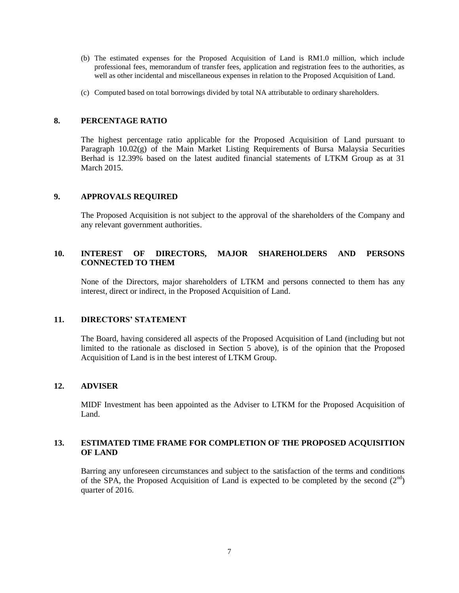- (b) The estimated expenses for the Proposed Acquisition of Land is RM1.0 million, which include professional fees, memorandum of transfer fees, application and registration fees to the authorities, as well as other incidental and miscellaneous expenses in relation to the Proposed Acquisition of Land.
- (c) Computed based on total borrowings divided by total NA attributable to ordinary shareholders.

#### **8. PERCENTAGE RATIO**

The highest percentage ratio applicable for the Proposed Acquisition of Land pursuant to Paragraph  $10.02(g)$  of the Main Market Listing Requirements of Bursa Malaysia Securities Berhad is 12.39% based on the latest audited financial statements of LTKM Group as at 31 March 2015.

### **9. APPROVALS REQUIRED**

The Proposed Acquisition is not subject to the approval of the shareholders of the Company and any relevant government authorities.

# **10. INTEREST OF DIRECTORS, MAJOR SHAREHOLDERS AND PERSONS CONNECTED TO THEM**

None of the Directors, major shareholders of LTKM and persons connected to them has any interest, direct or indirect, in the Proposed Acquisition of Land.

## **11. DIRECTORS' STATEMENT**

The Board, having considered all aspects of the Proposed Acquisition of Land (including but not limited to the rationale as disclosed in Section 5 above), is of the opinion that the Proposed Acquisition of Land is in the best interest of LTKM Group.

## **12. ADVISER**

MIDF Investment has been appointed as the Adviser to LTKM for the Proposed Acquisition of Land.

### **13. ESTIMATED TIME FRAME FOR COMPLETION OF THE PROPOSED ACQUISITION OF LAND**

Barring any unforeseen circumstances and subject to the satisfaction of the terms and conditions of the SPA, the Proposed Acquisition of Land is expected to be completed by the second  $(2^{nd})$ quarter of 2016.